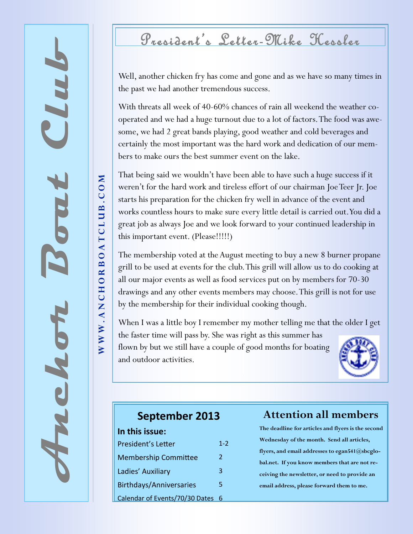## President 's Letter-Mike Hessler

Well, another chicken fry has come and gone and as we have so many times in the past we had another tremendous success.

With threats all week of 40-60% chances of rain all weekend the weather cooperated and we had a huge turnout due to a lot of factors. The food was awesome, we had 2 great bands playing, good weather and cold beverages and certainly the most important was the hard work and dedication of our members to make ours the best summer event on the lake.

That being said we wouldn't have been able to have such a huge success if it weren't for the hard work and tireless effort of our chairman Joe Teer Jr. Joe starts his preparation for the chicken fry well in advance of the event and works countless hours to make sure every little detail is carried out. You did a great job as always Joe and we look forward to your continued leadership in this important event. (Please!!!!!)

The membership voted at the August meeting to buy a new 8 burner propane grill to be used at events for the club. This grill will allow us to do cooking at all our major events as well as food services put on by members for 70-30 drawings and any other events members may choose. This grill is not for use by the membership for their individual cooking though.

When I was a little boy I remember my mother telling me that the older I get the faster time will pass by. She was right as this summer has flown by but we still have a couple of good months for boating and outdoor activities.



#### **September 2013**

| In this issue:                 |     |
|--------------------------------|-----|
| <b>President's Letter</b>      | 1-2 |
| <b>Membership Committee</b>    | 2   |
| Ladies' Auxiliary              | 3   |
| <b>Birthdays/Anniversaries</b> | 5   |
| Calendar of Events/70/30 Dates | 6   |

#### **Attention all members**

**The deadline for articles and flyers is the second Wednesday of the month. Send all articles, flyers, and email addresses to egan541@sbcglobal.net. If you know members that are not receiving the newsletter, or need to provide an email address, please forward them to me.**

WWW.ANCHORBOATCLUB.COM W W W .ANCHORBOATCLUB .COM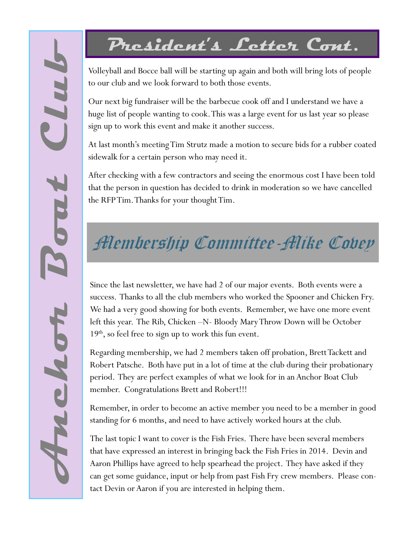# **President's Letter Cont.**

Volleyball and Bocce ball will be starting up again and both will bring lots of people to our club and we look forward to both those events.

Our next big fundraiser will be the barbecue cook off and I understand we have a huge list of people wanting to cook. This was a large event for us last year so please sign up to work this event and make it another success.

At last month's meeting Tim Strutz made a motion to secure bids for a rubber coated sidewalk for a certain person who may need it.

After checking with a few contractors and seeing the enormous cost I have been told that the person in question has decided to drink in moderation so we have cancelled the RFP Tim. Thanks for your thought Tim.

# **Membership Committee-Mike Cobey**

Since the last newsletter, we have had 2 of our major events. Both events were a success. Thanks to all the club members who worked the Spooner and Chicken Fry. We had a very good showing for both events. Remember, we have one more event left this year. The Rib, Chicken –N- Bloody Mary Throw Down will be October  $19<sup>th</sup>$ , so feel free to sign up to work this fun event.

Regarding membership, we had 2 members taken off probation, Brett Tackett and Robert Patsche. Both have put in a lot of time at the club during their probationary period. They are perfect examples of what we look for in an Anchor Boat Club member. Congratulations Brett and Robert!!!

Remember, in order to become an active member you need to be a member in good standing for 6 months, and need to have actively worked hours at the club.

The last topic I want to cover is the Fish Fries. There have been several members that have expressed an interest in bringing back the Fish Fries in 2014. Devin and Aaron Phillips have agreed to help spearhead the project. They have asked if they can get some guidance, input or help from past Fish Fry crew members. Please contact Devin or Aaron if you are interested in helping them.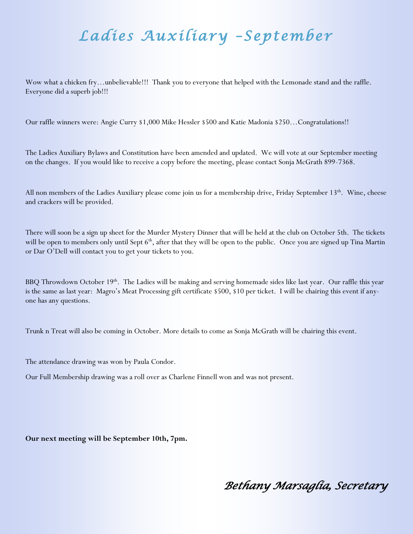## *Ladies Auxiliary –September*

Wow what a chicken fry…unbelievable!!! Thank you to everyone that helped with the Lemonade stand and the raffle. Everyone did a superb job!!!

Our raffle winners were: Angie Curry \$1,000 Mike Hessler \$500 and Katie Madonia \$250…Congratulations!!

The Ladies Auxiliary Bylaws and Constitution have been amended and updated. We will vote at our September meeting on the changes. If you would like to receive a copy before the meeting, please contact Sonja McGrath 899-7368.

All non members of the Ladies Auxiliary please come join us for a membership drive, Friday September 13<sup>th</sup>. Wine, cheese and crackers will be provided.

There will soon be a sign up sheet for the Murder Mystery Dinner that will be held at the club on October 5th. The tickets will be open to members only until Sept  $6<sup>th</sup>$ , after that they will be open to the public. Once you are signed up Tina Martin or Dar O'Dell will contact you to get your tickets to you.

BBQ Throwdown October 19<sup>th</sup>. The Ladies will be making and serving homemade sides like last year. Our raffle this year is the same as last year: Magro's Meat Processing gift certificate \$500, \$10 per ticket. I will be chairing this event if anyone has any questions.

Trunk n Treat will also be coming in October. More details to come as Sonja McGrath will be chairing this event.

The attendance drawing was won by Paula Condor.

Our Full Membership drawing was a roll over as Charlene Finnell won and was not present.

**Our next meeting will be September 10th, 7pm.**

*Bethany Marsaglia, Secretary*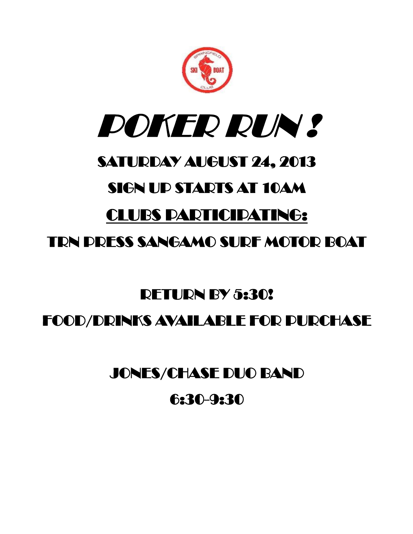



### SATURDAY AUGUST 24, 2013

#### SIGN UP STARTS AT 10AM

### CLUBS PARTICIPATING:

#### TRN PRESS SANGAMO SURF MOTOR BOAT

# RETURN BY 5:30! FOOD/DRINKS AVAILABLE FOR PURCHASE

#### JONES/CHASE DUO BAND

#### 6:30-9:30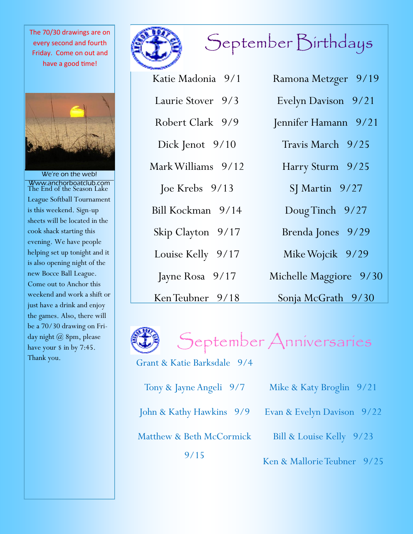every second and fourth Friday. Come on out and have a good time!



We're on the web! Www.anchorboatclub.com The End of the Season Lake League Softball Tournament is this weekend. Sign-up sheets will be located in the cook shack starting this evening. We have people helping set up tonight and it is also opening night of the new Bocce Ball League. Come out to Anchor this weekend and work a shift or just have a drink and enjoy the games. Also, there will be a 70/30 drawing on Friday night @ 8pm, please have your \$ in by 7:45. Thank you.





| Katie Madonia 9/1  | Ramona Metzger 9/19    |
|--------------------|------------------------|
| Laurie Stover 9/3  | Evelyn Davison 9/21    |
| Robert Clark 9/9   | Jennifer Hamann 9/21   |
| Dick Jenot 9/10    | Travis March 9/25      |
| Mark Williams 9/12 | Harry Sturm 9/25       |
| Joe Krebs 9/13     | $SI$ Martin $9/27$     |
| Bill Kockman 9/14  | Doug Tinch 9/27        |
| Skip Clayton 9/17  | Brenda Jones 9/29      |
| Louise Kelly 9/17  | Mike Wojcik 9/29       |
| Jayne Rosa 9/17    | Michelle Maggiore 9/30 |
| Ken Teubner 9/18   | Sonja McGrath 9/30     |



September Anniversaries

Grant & Katie Barksdale 9/4

| Tony & Jayne Angeli 9/7  | Mike & Katy Broglin 9/21    |
|--------------------------|-----------------------------|
| John & Kathy Hawkins 9/9 | Evan & Evelyn Davison 9/22  |
| Matthew & Beth McCormick | Bill & Louise Kelly 9/23    |
| 9/15                     | Ken & Mallorie Teubner 9/25 |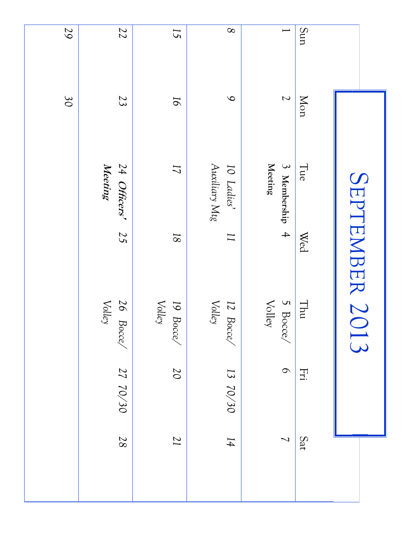|                          |                          |                                  | SEPTEMBER 2013  |                              |                |                          |
|--------------------------|--------------------------|----------------------------------|-----------------|------------------------------|----------------|--------------------------|
| Sun                      | Mon                      | Tue                              | Wed             | $\rm I$ hu                   | Fri            | Sat                      |
| $\overline{\phantom{0}}$ | $\overline{\mathcal{L}}$ | 3 Membership 4<br><b>Meeting</b> |                 | 5 Bocce<br>$\mathrm{Valley}$ | $\circ$        | $\overline{\phantom{0}}$ |
| $\infty$                 | $\infty$                 | Auxiliary Mtg<br>10 Ladies'      | $\overline{11}$ | Volley<br>12 Bocce/          | 13 70/30       | $14\,$                   |
| 15                       | $\overline{6}$           | 11                               | $18\,$          | Volley<br>19 Bocce,          | $\overline{0}$ | $\overline{17}$          |
| 22                       | 23                       | 24 Officers'<br>Meeting          | 25              | Volley<br>26 Bocce/          | 27 70/30       | 87                       |
| 59                       | 30                       |                                  |                 |                              |                |                          |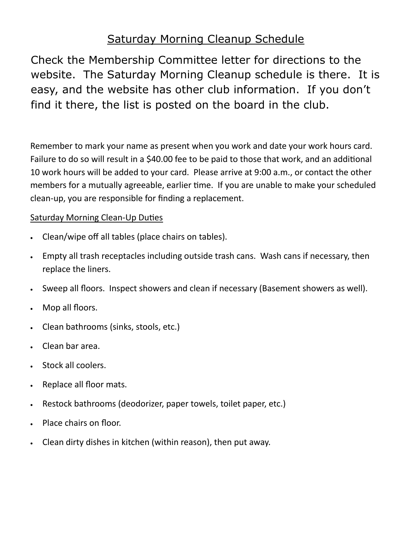#### Saturday Morning Cleanup Schedule

Check the Membership Committee letter for directions to the website. The Saturday Morning Cleanup schedule is there. It is easy, and the website has other club information. If you don't find it there, the list is posted on the board in the club.

Remember to mark your name as present when you work and date your work hours card. Failure to do so will result in a \$40.00 fee to be paid to those that work, and an additional 10 work hours will be added to your card. Please arrive at 9:00 a.m., or contact the other members for a mutually agreeable, earlier time. If you are unable to make your scheduled clean-up, you are responsible for finding a replacement.

#### Saturday Morning Clean-Up Duties

- Clean/wipe off all tables (place chairs on tables).
- Empty all trash receptacles including outside trash cans. Wash cans if necessary, then replace the liners.
- Sweep all floors. Inspect showers and clean if necessary (Basement showers as well).
- Mop all floors.
- Clean bathrooms (sinks, stools, etc.)
- Clean bar area.
- Stock all coolers.
- Replace all floor mats.
- Restock bathrooms (deodorizer, paper towels, toilet paper, etc.)
- Place chairs on floor.
- Clean dirty dishes in kitchen (within reason), then put away.